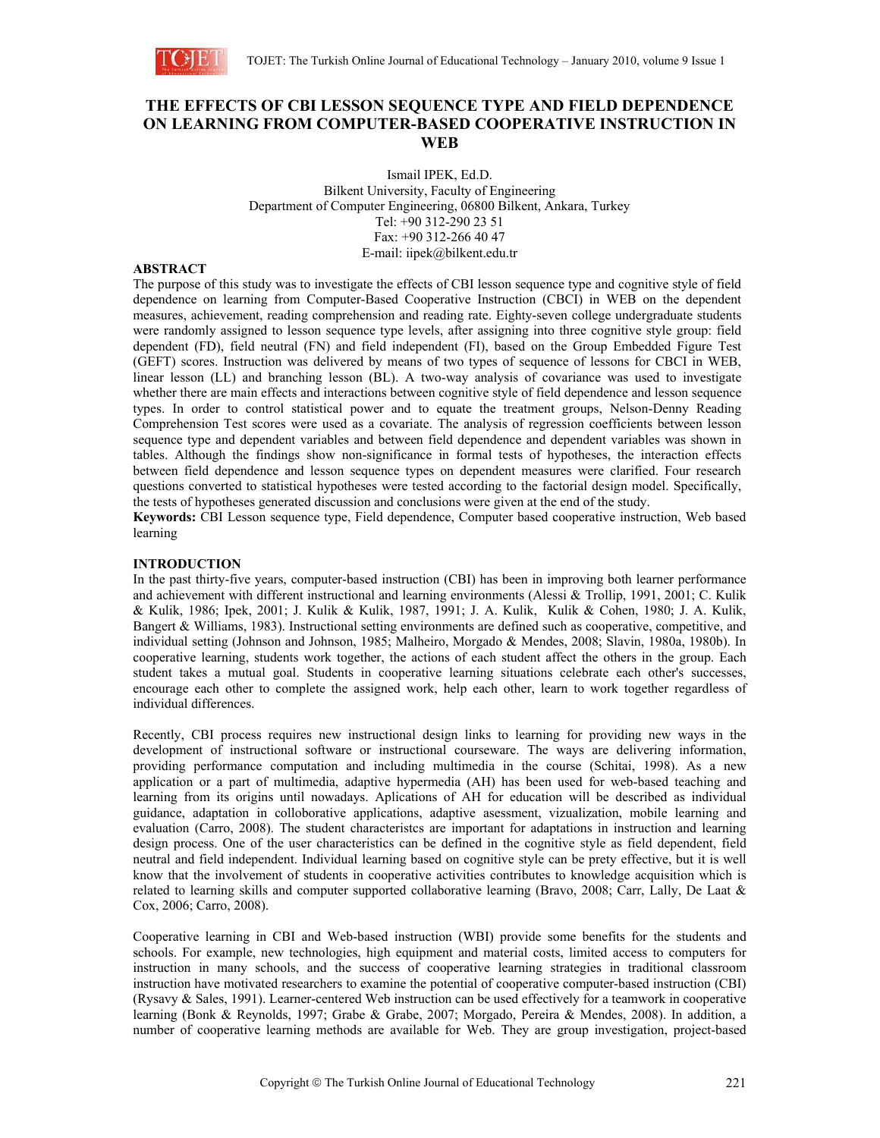

# **THE EFFECTS OF CBI LESSON SEQUENCE TYPE AND FIELD DEPENDENCE ON LEARNING FROM COMPUTER-BASED COOPERATIVE INSTRUCTION IN WEB**

Ismail IPEK, Ed.D. Bilkent University, Faculty of Engineering Department of Computer Engineering, 06800 Bilkent, Ankara, Turkey Tel: +90 312-290 23 51 Fax: +90 312-266 40 47 E-mail: iipek@bilkent.edu.tr

## **ABSTRACT**

The purpose of this study was to investigate the effects of CBI lesson sequence type and cognitive style of field dependence on learning from Computer-Based Cooperative Instruction (CBCI) in WEB on the dependent measures, achievement, reading comprehension and reading rate. Eighty-seven college undergraduate students were randomly assigned to lesson sequence type levels, after assigning into three cognitive style group: field dependent (FD), field neutral (FN) and field independent (FI), based on the Group Embedded Figure Test (GEFT) scores. Instruction was delivered by means of two types of sequence of lessons for CBCI in WEB, linear lesson (LL) and branching lesson (BL). A two-way analysis of covariance was used to investigate whether there are main effects and interactions between cognitive style of field dependence and lesson sequence types. In order to control statistical power and to equate the treatment groups, Nelson-Denny Reading Comprehension Test scores were used as a covariate. The analysis of regression coefficients between lesson sequence type and dependent variables and between field dependence and dependent variables was shown in tables. Although the findings show non-significance in formal tests of hypotheses, the interaction effects between field dependence and lesson sequence types on dependent measures were clarified. Four research questions converted to statistical hypotheses were tested according to the factorial design model. Specifically, the tests of hypotheses generated discussion and conclusions were given at the end of the study.

**Keywords:** CBI Lesson sequence type, Field dependence, Computer based cooperative instruction, Web based learning

## **INTRODUCTION**

In the past thirty-five years, computer-based instruction (CBI) has been in improving both learner performance and achievement with different instructional and learning environments (Alessi & Trollip, 1991, 2001; C. Kulik & Kulik, 1986; Ipek, 2001; J. Kulik & Kulik, 1987, 1991; J. A. Kulik, Kulik & Cohen, 1980; J. A. Kulik, Bangert & Williams, 1983). Instructional setting environments are defined such as cooperative, competitive, and individual setting (Johnson and Johnson, 1985; Malheiro, Morgado & Mendes, 2008; Slavin, 1980a, 1980b). In cooperative learning, students work together, the actions of each student affect the others in the group. Each student takes a mutual goal. Students in cooperative learning situations celebrate each other's successes, encourage each other to complete the assigned work, help each other, learn to work together regardless of individual differences.

Recently, CBI process requires new instructional design links to learning for providing new ways in the development of instructional software or instructional courseware. The ways are delivering information, providing performance computation and including multimedia in the course (Schitai, 1998). As a new application or a part of multimedia, adaptive hypermedia (AH) has been used for web-based teaching and learning from its origins until nowadays. Aplications of AH for education will be described as individual guidance, adaptation in colloborative applications, adaptive asessment, vizualization, mobile learning and evaluation (Carro, 2008). The student characteristcs are important for adaptations in instruction and learning design process. One of the user characteristics can be defined in the cognitive style as field dependent, field neutral and field independent. Individual learning based on cognitive style can be prety effective, but it is well know that the involvement of students in cooperative activities contributes to knowledge acquisition which is related to learning skills and computer supported collaborative learning (Bravo, 2008; Carr, Lally, De Laat & Cox, 2006; Carro, 2008).

Cooperative learning in CBI and Web-based instruction (WBI) provide some benefits for the students and schools. For example, new technologies, high equipment and material costs, limited access to computers for instruction in many schools, and the success of cooperative learning strategies in traditional classroom instruction have motivated researchers to examine the potential of cooperative computer-based instruction (CBI) (Rysavy & Sales, 1991). Learner-centered Web instruction can be used effectively for a teamwork in cooperative learning (Bonk & Reynolds, 1997; Grabe & Grabe, 2007; Morgado, Pereira & Mendes, 2008). In addition, a number of cooperative learning methods are available for Web. They are group investigation, project-based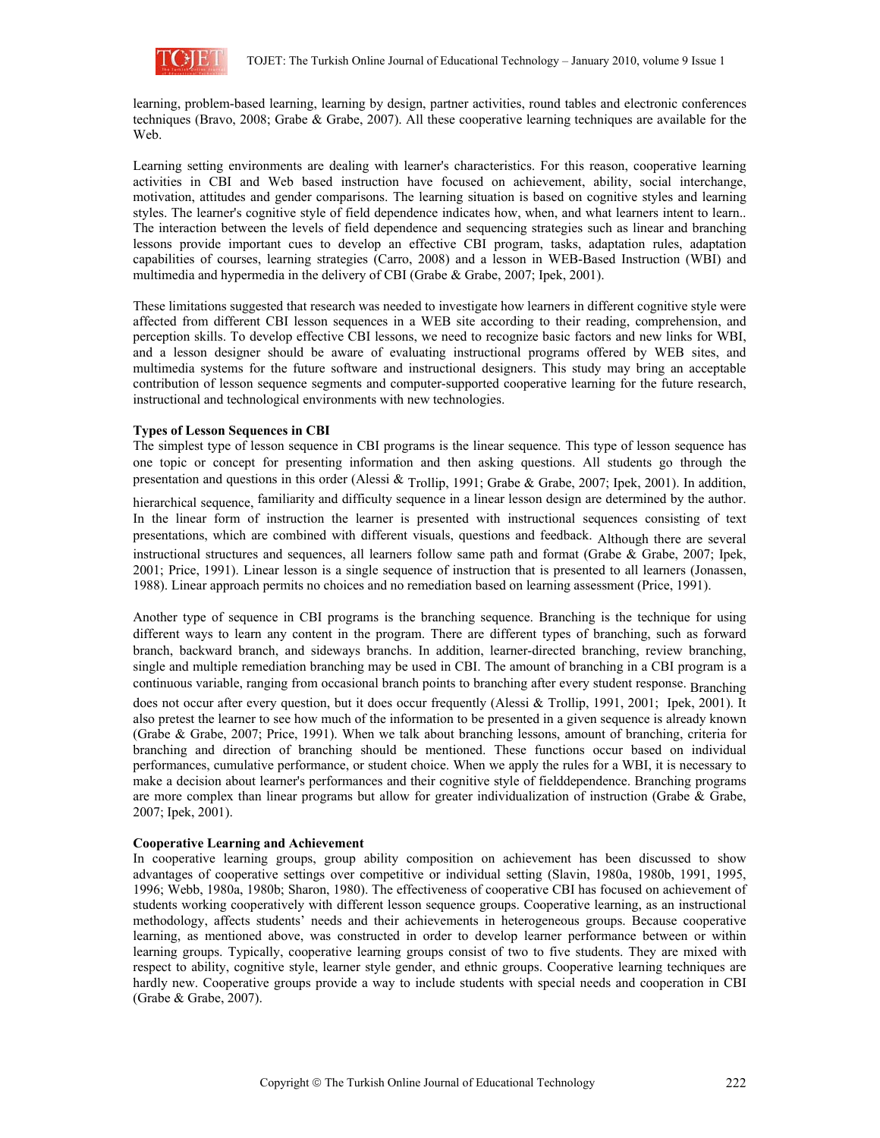

learning, problem-based learning, learning by design, partner activities, round tables and electronic conferences techniques (Bravo, 2008; Grabe & Grabe, 2007). All these cooperative learning techniques are available for the Web.

Learning setting environments are dealing with learner's characteristics. For this reason, cooperative learning activities in CBI and Web based instruction have focused on achievement, ability, social interchange, motivation, attitudes and gender comparisons. The learning situation is based on cognitive styles and learning styles. The learner's cognitive style of field dependence indicates how, when, and what learners intent to learn.. The interaction between the levels of field dependence and sequencing strategies such as linear and branching lessons provide important cues to develop an effective CBI program, tasks, adaptation rules, adaptation capabilities of courses, learning strategies (Carro, 2008) and a lesson in WEB-Based Instruction (WBI) and multimedia and hypermedia in the delivery of CBI (Grabe & Grabe, 2007; Ipek, 2001).

These limitations suggested that research was needed to investigate how learners in different cognitive style were affected from different CBI lesson sequences in a WEB site according to their reading, comprehension, and perception skills. To develop effective CBI lessons, we need to recognize basic factors and new links for WBI, and a lesson designer should be aware of evaluating instructional programs offered by WEB sites, and multimedia systems for the future software and instructional designers. This study may bring an acceptable contribution of lesson sequence segments and computer-supported cooperative learning for the future research, instructional and technological environments with new technologies.

## **Types of Lesson Sequences in CBI**

The simplest type of lesson sequence in CBI programs is the linear sequence. This type of lesson sequence has one topic or concept for presenting information and then asking questions. All students go through the presentation and questions in this order (Alessi & Trollip, 1991; Grabe & Grabe, 2007; Ipek, 2001). In addition, hierarchical sequence, familiarity and difficulty sequence in a linear lesson design are determined by the author. In the linear form of instruction the learner is presented with instructional sequences consisting of text presentations, which are combined with different visuals, questions and feedback. Although there are several instructional structures and sequences, all learners follow same path and format (Grabe & Grabe, 2007; Ipek, 2001; Price, 1991). Linear lesson is a single sequence of instruction that is presented to all learners (Jonassen, 1988). Linear approach permits no choices and no remediation based on learning assessment (Price, 1991).

Another type of sequence in CBI programs is the branching sequence. Branching is the technique for using different ways to learn any content in the program. There are different types of branching, such as forward branch, backward branch, and sideways branchs. In addition, learner-directed branching, review branching, single and multiple remediation branching may be used in CBI. The amount of branching in a CBI program is a continuous variable, ranging from occasional branch points to branching after every student response. Branching

does not occur after every question, but it does occur frequently (Alessi & Trollip, 1991, 2001; Ipek, 2001). It also pretest the learner to see how much of the information to be presented in a given sequence is already known (Grabe & Grabe, 2007; Price, 1991). When we talk about branching lessons, amount of branching, criteria for branching and direction of branching should be mentioned. These functions occur based on individual performances, cumulative performance, or student choice. When we apply the rules for a WBI, it is necessary to make a decision about learner's performances and their cognitive style of fielddependence. Branching programs are more complex than linear programs but allow for greater individualization of instruction (Grabe & Grabe, 2007; Ipek, 2001).

#### **Cooperative Learning and Achievement**

In cooperative learning groups, group ability composition on achievement has been discussed to show advantages of cooperative settings over competitive or individual setting (Slavin, 1980a, 1980b, 1991, 1995, 1996; Webb, 1980a, 1980b; Sharon, 1980). The effectiveness of cooperative CBI has focused on achievement of students working cooperatively with different lesson sequence groups. Cooperative learning, as an instructional methodology, affects students' needs and their achievements in heterogeneous groups. Because cooperative learning, as mentioned above, was constructed in order to develop learner performance between or within learning groups. Typically, cooperative learning groups consist of two to five students. They are mixed with respect to ability, cognitive style, learner style gender, and ethnic groups. Cooperative learning techniques are hardly new. Cooperative groups provide a way to include students with special needs and cooperation in CBI (Grabe & Grabe, 2007).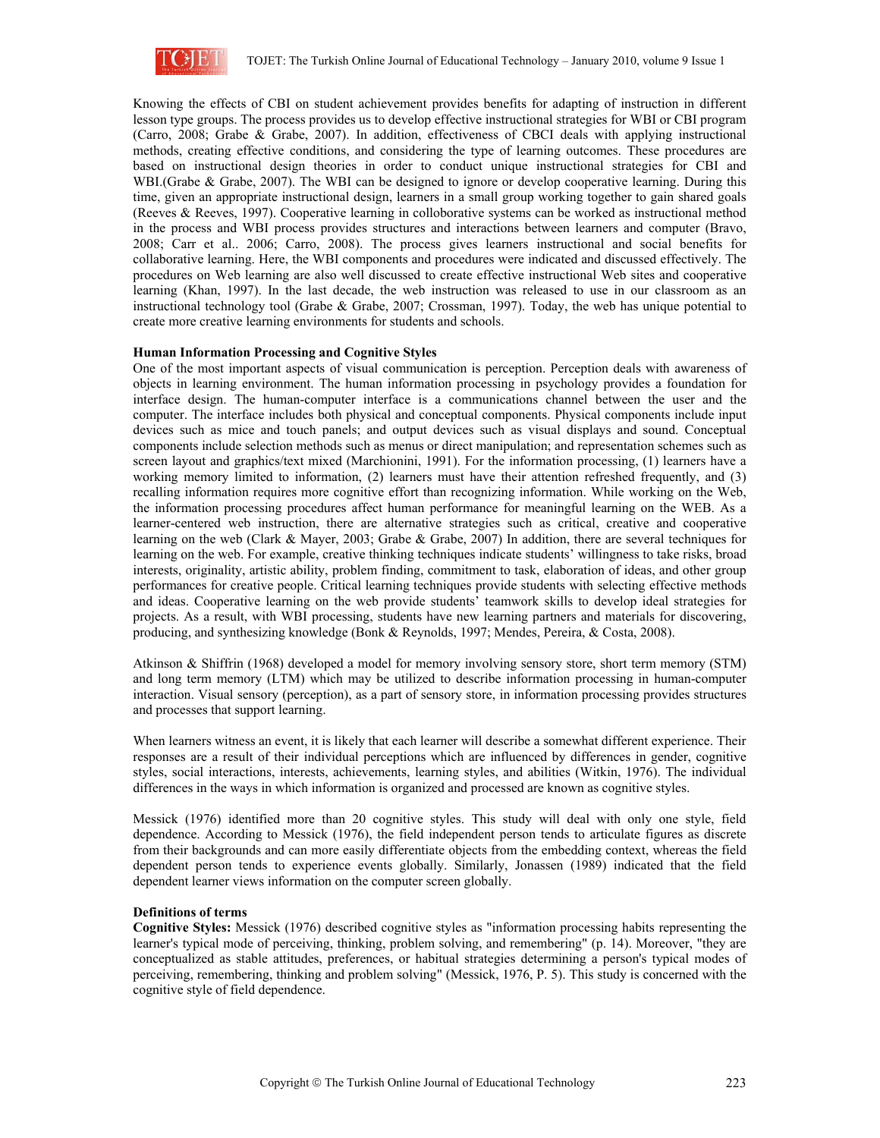

Knowing the effects of CBI on student achievement provides benefits for adapting of instruction in different lesson type groups. The process provides us to develop effective instructional strategies for WBI or CBI program (Carro, 2008; Grabe & Grabe, 2007). In addition, effectiveness of CBCI deals with applying instructional methods, creating effective conditions, and considering the type of learning outcomes. These procedures are based on instructional design theories in order to conduct unique instructional strategies for CBI and WBI.(Grabe & Grabe, 2007). The WBI can be designed to ignore or develop cooperative learning. During this time, given an appropriate instructional design, learners in a small group working together to gain shared goals (Reeves & Reeves, 1997). Cooperative learning in colloborative systems can be worked as instructional method in the process and WBI process provides structures and interactions between learners and computer (Bravo, 2008; Carr et al.. 2006; Carro, 2008). The process gives learners instructional and social benefits for collaborative learning. Here, the WBI components and procedures were indicated and discussed effectively. The procedures on Web learning are also well discussed to create effective instructional Web sites and cooperative learning (Khan, 1997). In the last decade, the web instruction was released to use in our classroom as an instructional technology tool (Grabe & Grabe, 2007; Crossman, 1997). Today, the web has unique potential to create more creative learning environments for students and schools.

## **Human Information Processing and Cognitive Styles**

One of the most important aspects of visual communication is perception. Perception deals with awareness of objects in learning environment. The human information processing in psychology provides a foundation for interface design. The human-computer interface is a communications channel between the user and the computer. The interface includes both physical and conceptual components. Physical components include input devices such as mice and touch panels; and output devices such as visual displays and sound. Conceptual components include selection methods such as menus or direct manipulation; and representation schemes such as screen layout and graphics/text mixed (Marchionini, 1991). For the information processing, (1) learners have a working memory limited to information, (2) learners must have their attention refreshed frequently, and (3) recalling information requires more cognitive effort than recognizing information. While working on the Web, the information processing procedures affect human performance for meaningful learning on the WEB. As a learner-centered web instruction, there are alternative strategies such as critical, creative and cooperative learning on the web (Clark & Mayer, 2003; Grabe & Grabe, 2007) In addition, there are several techniques for learning on the web. For example, creative thinking techniques indicate students' willingness to take risks, broad interests, originality, artistic ability, problem finding, commitment to task, elaboration of ideas, and other group performances for creative people. Critical learning techniques provide students with selecting effective methods and ideas. Cooperative learning on the web provide students' teamwork skills to develop ideal strategies for projects. As a result, with WBI processing, students have new learning partners and materials for discovering, producing, and synthesizing knowledge (Bonk & Reynolds, 1997; Mendes, Pereira, & Costa, 2008).

Atkinson & Shiffrin (1968) developed a model for memory involving sensory store, short term memory (STM) and long term memory (LTM) which may be utilized to describe information processing in human-computer interaction. Visual sensory (perception), as a part of sensory store, in information processing provides structures and processes that support learning.

When learners witness an event, it is likely that each learner will describe a somewhat different experience. Their responses are a result of their individual perceptions which are influenced by differences in gender, cognitive styles, social interactions, interests, achievements, learning styles, and abilities (Witkin, 1976). The individual differences in the ways in which information is organized and processed are known as cognitive styles.

Messick (1976) identified more than 20 cognitive styles. This study will deal with only one style, field dependence. According to Messick (1976), the field independent person tends to articulate figures as discrete from their backgrounds and can more easily differentiate objects from the embedding context, whereas the field dependent person tends to experience events globally. Similarly, Jonassen (1989) indicated that the field dependent learner views information on the computer screen globally.

#### **Definitions of terms**

**Cognitive Styles:** Messick (1976) described cognitive styles as "information processing habits representing the learner's typical mode of perceiving, thinking, problem solving, and remembering" (p. 14). Moreover, "they are conceptualized as stable attitudes, preferences, or habitual strategies determining a person's typical modes of perceiving, remembering, thinking and problem solving" (Messick, 1976, P. 5). This study is concerned with the cognitive style of field dependence.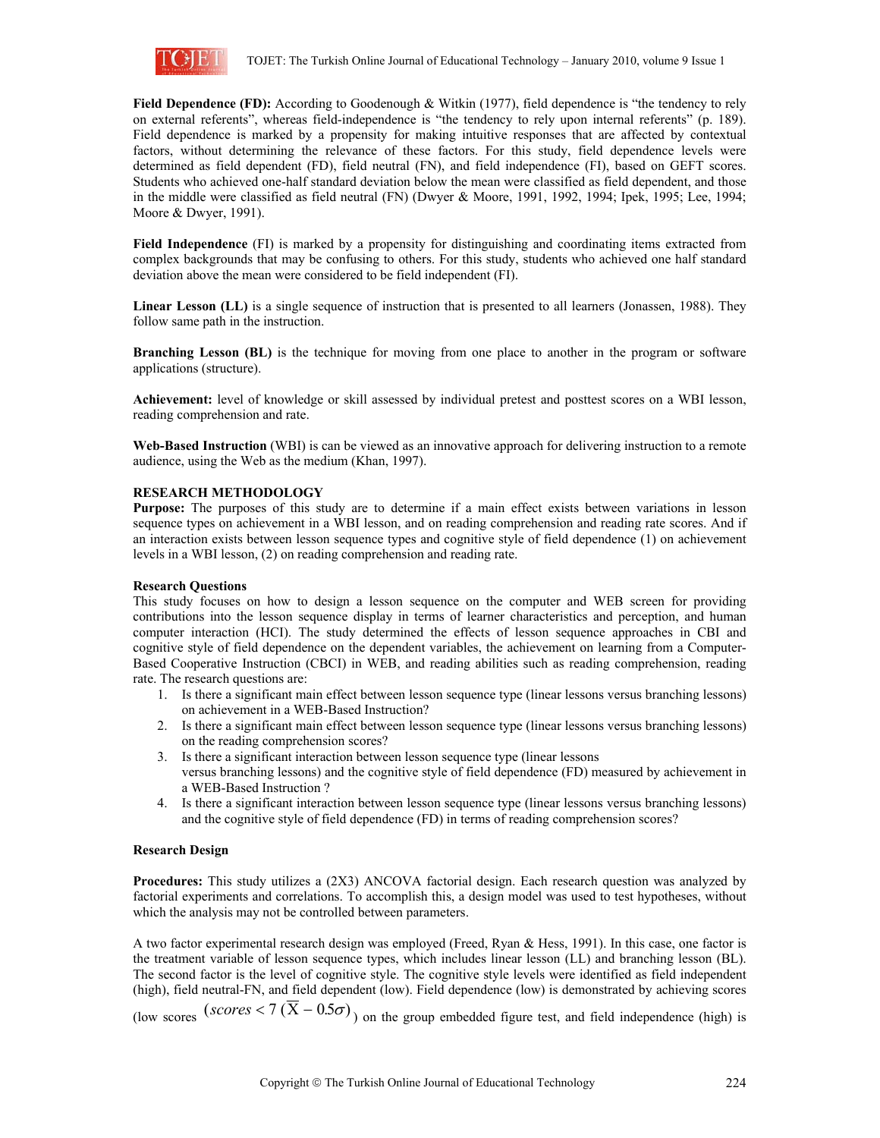

**Field Dependence (FD):** According to Goodenough & Witkin (1977), field dependence is "the tendency to rely on external referents", whereas field-independence is "the tendency to rely upon internal referents" (p. 189). Field dependence is marked by a propensity for making intuitive responses that are affected by contextual factors, without determining the relevance of these factors. For this study, field dependence levels were determined as field dependent (FD), field neutral (FN), and field independence (FI), based on GEFT scores. Students who achieved one-half standard deviation below the mean were classified as field dependent, and those in the middle were classified as field neutral (FN) (Dwyer & Moore, 1991, 1992, 1994; Ipek, 1995; Lee, 1994; Moore & Dwyer, 1991).

**Field Independence** (FI) is marked by a propensity for distinguishing and coordinating items extracted from complex backgrounds that may be confusing to others. For this study, students who achieved one half standard deviation above the mean were considered to be field independent (FI).

**Linear Lesson (LL)** is a single sequence of instruction that is presented to all learners (Jonassen, 1988). They follow same path in the instruction.

**Branching Lesson (BL)** is the technique for moving from one place to another in the program or software applications (structure).

**Achievement:** level of knowledge or skill assessed by individual pretest and posttest scores on a WBI lesson, reading comprehension and rate.

**Web-Based Instruction** (WBI) is can be viewed as an innovative approach for delivering instruction to a remote audience, using the Web as the medium (Khan, 1997).

#### **RESEARCH METHODOLOGY**

**Purpose:** The purposes of this study are to determine if a main effect exists between variations in lesson sequence types on achievement in a WBI lesson, and on reading comprehension and reading rate scores. And if an interaction exists between lesson sequence types and cognitive style of field dependence (1) on achievement levels in a WBI lesson, (2) on reading comprehension and reading rate.

#### **Research Questions**

This study focuses on how to design a lesson sequence on the computer and WEB screen for providing contributions into the lesson sequence display in terms of learner characteristics and perception, and human computer interaction (HCI). The study determined the effects of lesson sequence approaches in CBI and cognitive style of field dependence on the dependent variables, the achievement on learning from a Computer-Based Cooperative Instruction (CBCI) in WEB, and reading abilities such as reading comprehension, reading rate. The research questions are:

- 1. Is there a significant main effect between lesson sequence type (linear lessons versus branching lessons) on achievement in a WEB-Based Instruction?
- 2. Is there a significant main effect between lesson sequence type (linear lessons versus branching lessons) on the reading comprehension scores?
- 3. Is there a significant interaction between lesson sequence type (linear lessons versus branching lessons) and the cognitive style of field dependence (FD) measured by achievement in a WEB-Based Instruction ?
- 4. Is there a significant interaction between lesson sequence type (linear lessons versus branching lessons) and the cognitive style of field dependence (FD) in terms of reading comprehension scores?

## **Research Design**

**Procedures:** This study utilizes a (2X3) ANCOVA factorial design. Each research question was analyzed by factorial experiments and correlations. To accomplish this, a design model was used to test hypotheses, without which the analysis may not be controlled between parameters.

A two factor experimental research design was employed (Freed, Ryan & Hess, 1991). In this case, one factor is the treatment variable of lesson sequence types, which includes linear lesson (LL) and branching lesson (BL). The second factor is the level of cognitive style. The cognitive style levels were identified as field independent (high), field neutral-FN, and field dependent (low). Field dependence (low) is demonstrated by achieving scores (low scores  $(scores < 7 (\overline{X} - 0.5\sigma))$  on the group embedded figure test, and field independence (high) is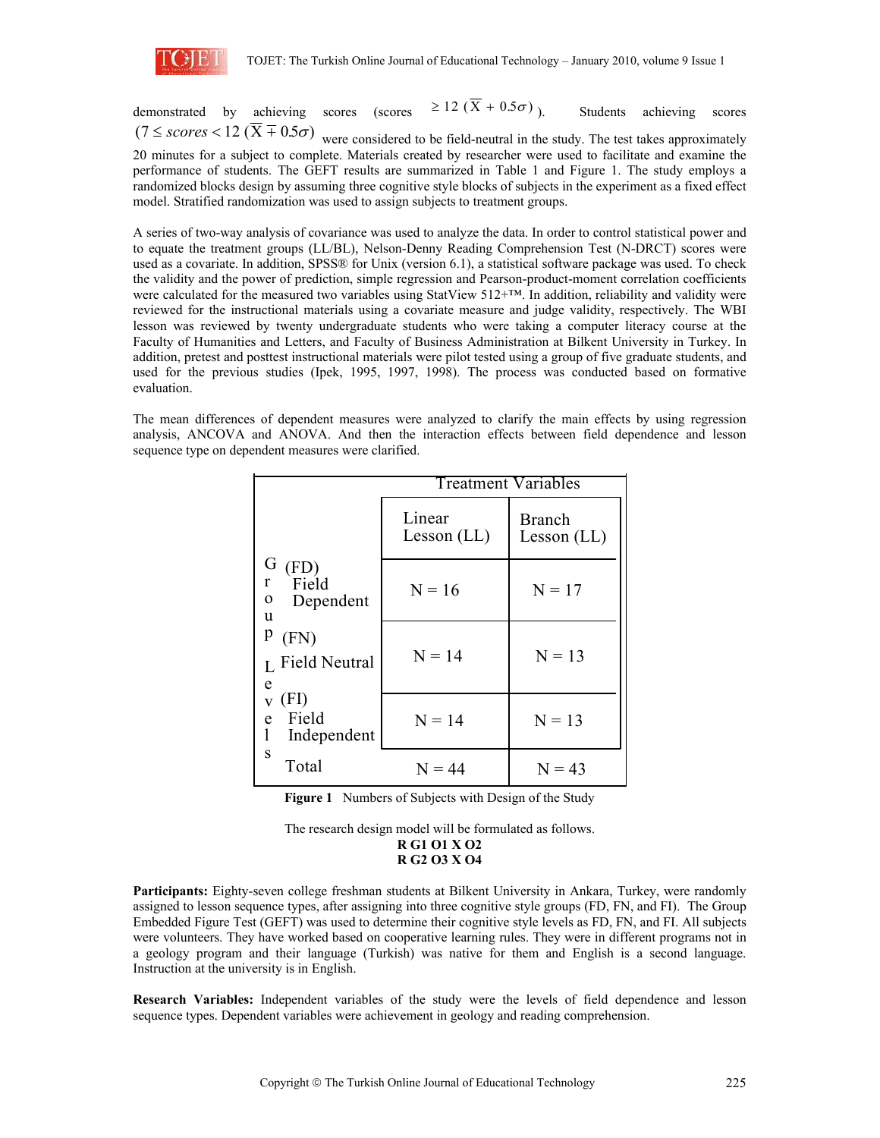

demonstrated by achieving scores (scores  $\geq 12 \left( \overline{X} + 0.5\sigma \right)$ ). Students achieving scores  $(7 \leq \textit{scores} < 12 (\overline{X} + 0.5\sigma))$  were considered to be field-neutral in the study. The test takes approximately

20 minutes for a subject to complete. Materials created by researcher were used to facilitate and examine the performance of students. The GEFT results are summarized in Table 1 and Figure 1. The study employs a randomized blocks design by assuming three cognitive style blocks of subjects in the experiment as a fixed effect model. Stratified randomization was used to assign subjects to treatment groups.

A series of two-way analysis of covariance was used to analyze the data. In order to control statistical power and to equate the treatment groups (LL/BL), Nelson-Denny Reading Comprehension Test (N-DRCT) scores were used as a covariate. In addition, SPSS® for Unix (version 6.1), a statistical software package was used. To check the validity and the power of prediction, simple regression and Pearson-product-moment correlation coefficients were calculated for the measured two variables using StatView 512+™. In addition, reliability and validity were reviewed for the instructional materials using a covariate measure and judge validity, respectively. The WBI lesson was reviewed by twenty undergraduate students who were taking a computer literacy course at the Faculty of Humanities and Letters, and Faculty of Business Administration at Bilkent University in Turkey. In addition, pretest and posttest instructional materials were pilot tested using a group of five graduate students, and used for the previous studies (Ipek, 1995, 1997, 1998). The process was conducted based on formative evaluation.

The mean differences of dependent measures were analyzed to clarify the main effects by using regression analysis, ANCOVA and ANOVA. And then the interaction effects between field dependence and lesson sequence type on dependent measures were clarified.

|                                                              | <b>Treatment Variables</b> |                                |  |  |  |  |
|--------------------------------------------------------------|----------------------------|--------------------------------|--|--|--|--|
|                                                              | Linear<br>Lesson $(LL)$    | <b>Branch</b><br>Lesson $(LL)$ |  |  |  |  |
| G<br>(FD)<br>Field<br>r<br>Dependent<br>0<br>u               | $N = 16$                   | $N = 17$                       |  |  |  |  |
| p<br>(FN)<br>L Field Neutral<br>e                            | $N = 14$                   | $N = 13$                       |  |  |  |  |
| (FI)<br>$\overline{\mathbf{V}}$<br>Field<br>e<br>Independent | $N = 14$                   | $N = 13$                       |  |  |  |  |
| S<br>Total                                                   | $N = 44$                   | $N = 43$                       |  |  |  |  |

**Figure 1** Numbers of Subjects with Design of the Study

**Participants:** Eighty-seven college freshman students at Bilkent University in Ankara, Turkey, were randomly assigned to lesson sequence types, after assigning into three cognitive style groups (FD, FN, and FI). The Group Embedded Figure Test (GEFT) was used to determine their cognitive style levels as FD, FN, and FI. All subjects were volunteers. They have worked based on cooperative learning rules. They were in different programs not in a geology program and their language (Turkish) was native for them and English is a second language. Instruction at the university is in English.

**Research Variables:** Independent variables of the study were the levels of field dependence and lesson sequence types. Dependent variables were achievement in geology and reading comprehension.

The research design model will be formulated as follows. **R G1 O1 X O2 R G2 O3 X O4**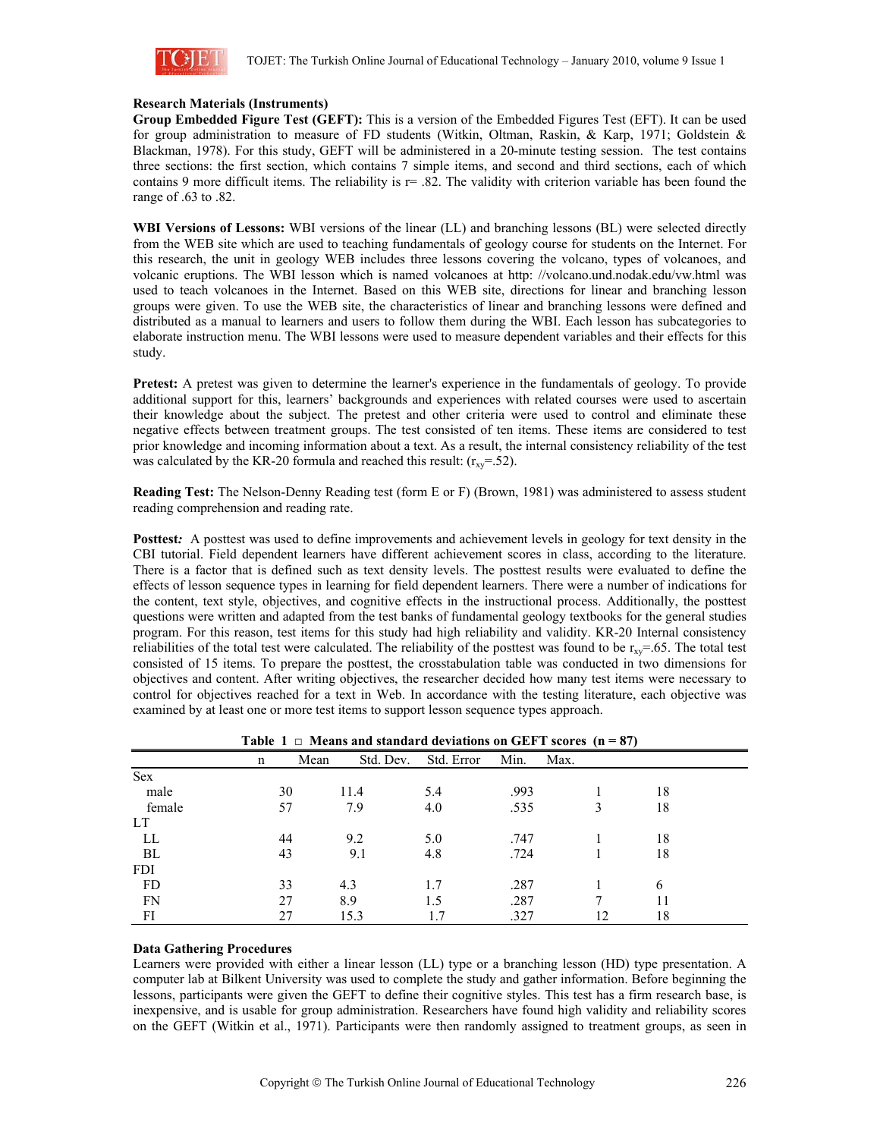

## **Research Materials (Instruments)**

**Group Embedded Figure Test (GEFT):** This is a version of the Embedded Figures Test (EFT). It can be used for group administration to measure of FD students (Witkin, Oltman, Raskin, & Karp, 1971; Goldstein & Blackman, 1978). For this study, GEFT will be administered in a 20-minute testing session. The test contains three sections: the first section, which contains 7 simple items, and second and third sections, each of which contains 9 more difficult items. The reliability is r= .82. The validity with criterion variable has been found the range of .63 to .82.

**WBI Versions of Lessons:** WBI versions of the linear (LL) and branching lessons (BL) were selected directly from the WEB site which are used to teaching fundamentals of geology course for students on the Internet. For this research, the unit in geology WEB includes three lessons covering the volcano, types of volcanoes, and volcanic eruptions. The WBI lesson which is named volcanoes at http: //volcano.und.nodak.edu/vw.html was used to teach volcanoes in the Internet. Based on this WEB site, directions for linear and branching lesson groups were given. To use the WEB site, the characteristics of linear and branching lessons were defined and distributed as a manual to learners and users to follow them during the WBI. Each lesson has subcategories to elaborate instruction menu. The WBI lessons were used to measure dependent variables and their effects for this study.

**Pretest:** A pretest was given to determine the learner's experience in the fundamentals of geology. To provide additional support for this, learners' backgrounds and experiences with related courses were used to ascertain their knowledge about the subject. The pretest and other criteria were used to control and eliminate these negative effects between treatment groups. The test consisted of ten items. These items are considered to test prior knowledge and incoming information about a text. As a result, the internal consistency reliability of the test was calculated by the KR-20 formula and reached this result:  $(r_{xy} = .52)$ .

**Reading Test:** The Nelson-Denny Reading test (form E or F) (Brown, 1981) was administered to assess student reading comprehension and reading rate.

**Posttest:** A posttest was used to define improvements and achievement levels in geology for text density in the CBI tutorial. Field dependent learners have different achievement scores in class, according to the literature. There is a factor that is defined such as text density levels. The posttest results were evaluated to define the effects of lesson sequence types in learning for field dependent learners. There were a number of indications for the content, text style, objectives, and cognitive effects in the instructional process. Additionally, the posttest questions were written and adapted from the test banks of fundamental geology textbooks for the general studies program. For this reason, test items for this study had high reliability and validity. KR-20 Internal consistency reliabilities of the total test were calculated. The reliability of the posttest was found to be  $r_{xy}=65$ . The total test consisted of 15 items. To prepare the posttest, the crosstabulation table was conducted in two dimensions for objectives and content. After writing objectives, the researcher decided how many test items were necessary to control for objectives reached for a text in Web. In accordance with the testing literature, each objective was examined by at least one or more test items to support lesson sequence types approach.

|            |    | $1$ avit $1 \sqcup \sqcup$ means and standard deviations on OET 1 secres $\left( n - \sigma / \right)$ |            |      |      |    |  |
|------------|----|--------------------------------------------------------------------------------------------------------|------------|------|------|----|--|
|            | n  | Std. Dev.<br>Mean                                                                                      | Std. Error | Min. | Max. |    |  |
| Sex        |    |                                                                                                        |            |      |      |    |  |
| male       | 30 | 11.4                                                                                                   | 5.4        | .993 |      | 18 |  |
| female     | 57 | 7.9                                                                                                    | 4.0        | .535 |      | 18 |  |
| LT         |    |                                                                                                        |            |      |      |    |  |
| LL         | 44 | 9.2                                                                                                    | 5.0        | .747 |      | 18 |  |
| BL         | 43 | 9.1                                                                                                    | 4.8        | .724 |      | 18 |  |
| <b>FDI</b> |    |                                                                                                        |            |      |      |    |  |
| FD         | 33 | 4.3                                                                                                    | 1.7        | .287 |      | 6  |  |
| FN         | 27 | 8.9                                                                                                    | 1.5        | .287 |      | 11 |  |
| FI         | 27 | 15.3                                                                                                   |            | .327 |      | 18 |  |

**Table 1**  $\Box$  Means and standard deviations on GEFT scores ( $n = 87$ )

## **Data Gathering Procedures**

Learners were provided with either a linear lesson (LL) type or a branching lesson (HD) type presentation. A computer lab at Bilkent University was used to complete the study and gather information. Before beginning the lessons, participants were given the GEFT to define their cognitive styles. This test has a firm research base, is inexpensive, and is usable for group administration. Researchers have found high validity and reliability scores on the GEFT (Witkin et al., 1971). Participants were then randomly assigned to treatment groups, as seen in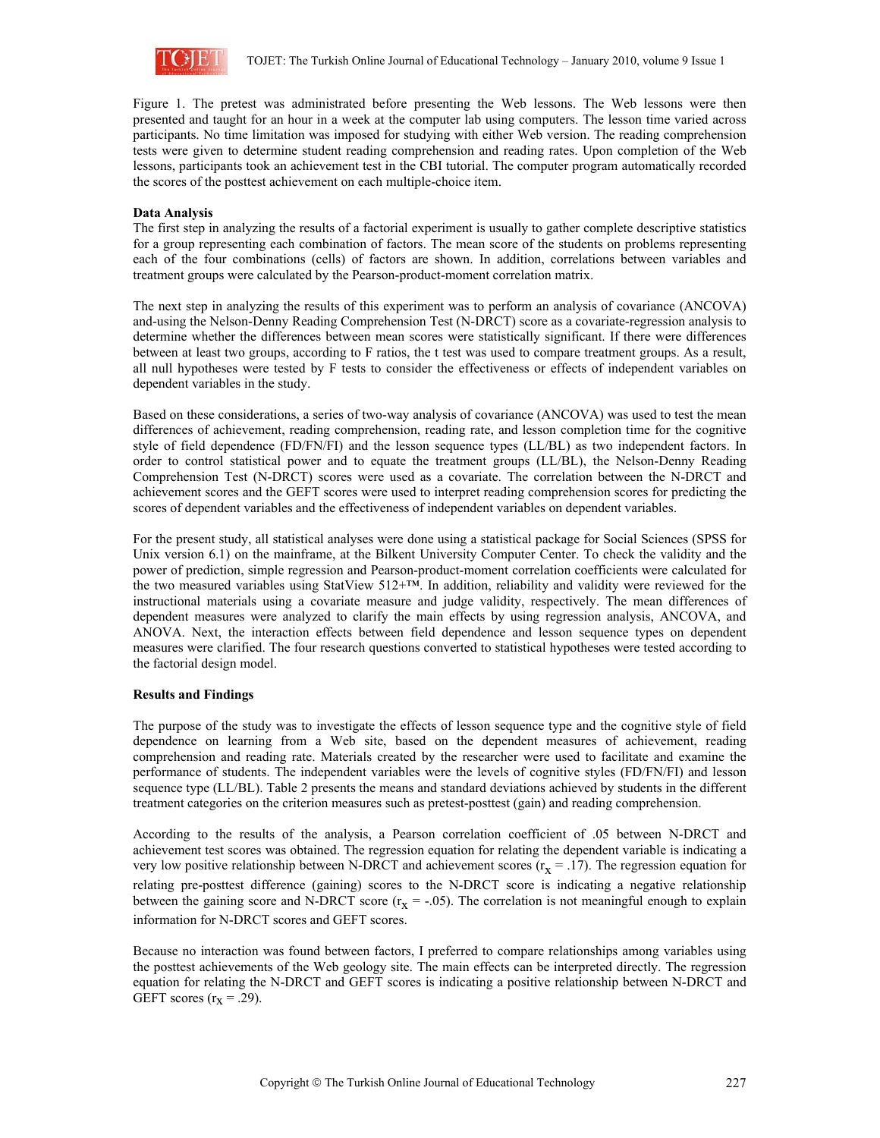

Figure 1. The pretest was administrated before presenting the Web lessons. The Web lessons were then presented and taught for an hour in a week at the computer lab using computers. The lesson time varied across participants. No time limitation was imposed for studying with either Web version. The reading comprehension tests were given to determine student reading comprehension and reading rates. Upon completion of the Web lessons, participants took an achievement test in the CBI tutorial. The computer program automatically recorded the scores of the posttest achievement on each multiple-choice item.

## **Data Analysis**

The first step in analyzing the results of a factorial experiment is usually to gather complete descriptive statistics for a group representing each combination of factors. The mean score of the students on problems representing each of the four combinations (cells) of factors are shown. In addition, correlations between variables and treatment groups were calculated by the Pearson-product-moment correlation matrix.

The next step in analyzing the results of this experiment was to perform an analysis of covariance (ANCOVA) and-using the Nelson-Denny Reading Comprehension Test (N-DRCT) score as a covariate-regression analysis to determine whether the differences between mean scores were statistically significant. If there were differences between at least two groups, according to F ratios, the t test was used to compare treatment groups. As a result, all null hypotheses were tested by F tests to consider the effectiveness or effects of independent variables on dependent variables in the study.

Based on these considerations, a series of two-way analysis of covariance (ANCOVA) was used to test the mean differences of achievement, reading comprehension, reading rate, and lesson completion time for the cognitive style of field dependence (FD/FN/FI) and the lesson sequence types (LL/BL) as two independent factors. In order to control statistical power and to equate the treatment groups (LL/BL), the Nelson-Denny Reading Comprehension Test (N-DRCT) scores were used as a covariate. The correlation between the N-DRCT and achievement scores and the GEFT scores were used to interpret reading comprehension scores for predicting the scores of dependent variables and the effectiveness of independent variables on dependent variables.

For the present study, all statistical analyses were done using a statistical package for Social Sciences (SPSS for Unix version 6.1) on the mainframe, at the Bilkent University Computer Center. To check the validity and the power of prediction, simple regression and Pearson-product-moment correlation coefficients were calculated for the two measured variables using StatView 512+™. In addition, reliability and validity were reviewed for the instructional materials using a covariate measure and judge validity, respectively. The mean differences of dependent measures were analyzed to clarify the main effects by using regression analysis, ANCOVA, and ANOVA. Next, the interaction effects between field dependence and lesson sequence types on dependent measures were clarified. The four research questions converted to statistical hypotheses were tested according to the factorial design model.

## **Results and Findings**

The purpose of the study was to investigate the effects of lesson sequence type and the cognitive style of field dependence on learning from a Web site, based on the dependent measures of achievement, reading comprehension and reading rate. Materials created by the researcher were used to facilitate and examine the performance of students. The independent variables were the levels of cognitive styles (FD/FN/FI) and lesson sequence type (LL/BL). Table 2 presents the means and standard deviations achieved by students in the different treatment categories on the criterion measures such as pretest-posttest (gain) and reading comprehension.

According to the results of the analysis, a Pearson correlation coefficient of .05 between N-DRCT and achievement test scores was obtained. The regression equation for relating the dependent variable is indicating a very low positive relationship between N-DRCT and achievement scores ( $r_x = .17$ ). The regression equation for relating pre-posttest difference (gaining) scores to the N-DRCT score is indicating a negative relationship between the gaining score and N-DRCT score ( $r_x = -.05$ ). The correlation is not meaningful enough to explain information for N-DRCT scores and GEFT scores.

Because no interaction was found between factors, I preferred to compare relationships among variables using the posttest achievements of the Web geology site. The main effects can be interpreted directly. The regression equation for relating the N-DRCT and GEFT scores is indicating a positive relationship between N-DRCT and GEFT scores  $(r_x = .29)$ .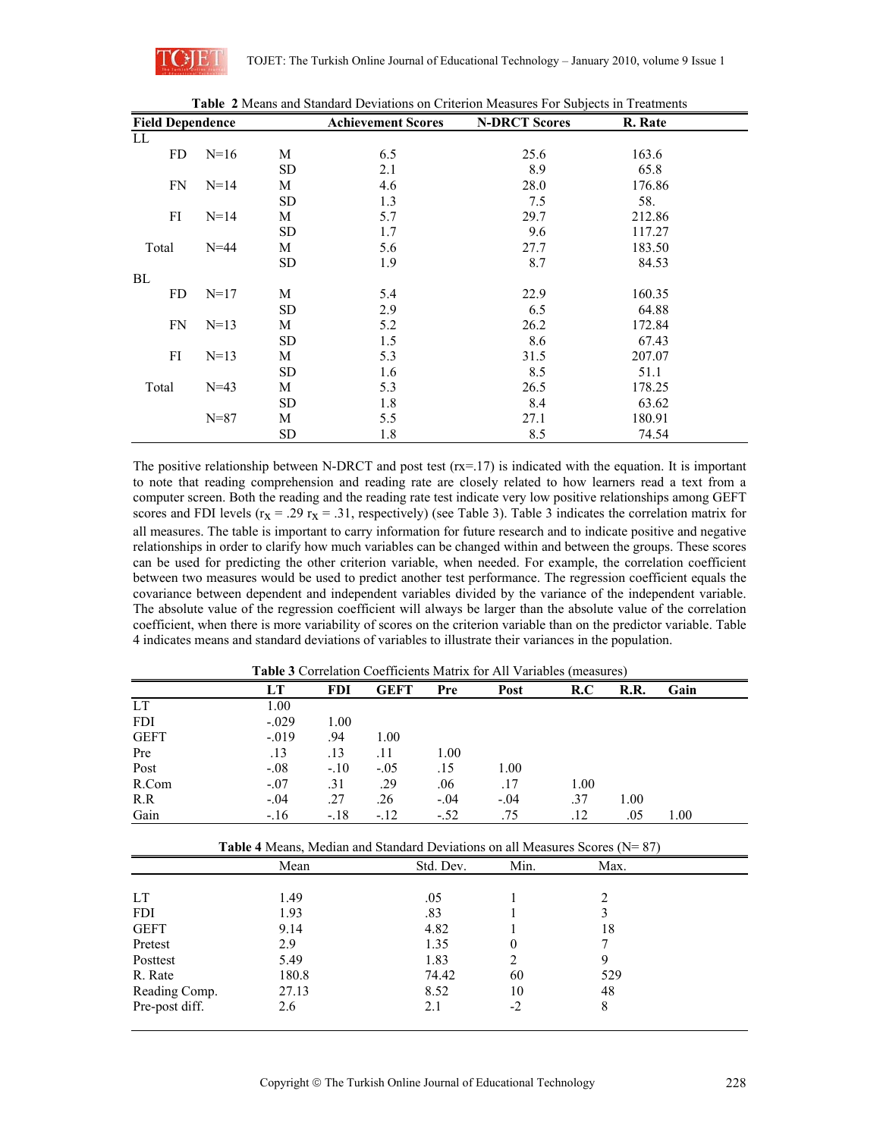

| <b>Field Dependence</b> |          |           | <b>Achievement Scores</b> | <b>N-DRCT Scores</b> | R. Rate |
|-------------------------|----------|-----------|---------------------------|----------------------|---------|
| LL                      |          |           |                           |                      |         |
| FD                      | $N=16$   | M         | 6.5                       | 25.6                 | 163.6   |
|                         |          | <b>SD</b> | 2.1                       | 8.9                  | 65.8    |
| FN                      | $N = 14$ | M         | 4.6                       | 28.0                 | 176.86  |
|                         |          | SD        | 1.3                       | 7.5                  | 58.     |
| FI                      | $N = 14$ | М         | 5.7                       | 29.7                 | 212.86  |
|                         |          | <b>SD</b> | 1.7                       | 9.6                  | 117.27  |
| Total                   | $N = 44$ | М         | 5.6                       | 27.7                 | 183.50  |
|                         |          | SD        | 1.9                       | 8.7                  | 84.53   |
| BL                      |          |           |                           |                      |         |
| FD                      | $N=17$   | M         | 5.4                       | 22.9                 | 160.35  |
|                         |          | SD        | 2.9                       | 6.5                  | 64.88   |
| FN                      | $N=13$   | М         | 5.2                       | 26.2                 | 172.84  |
|                         |          | SD        | 1.5                       | 8.6                  | 67.43   |
| FI                      | $N=13$   | M         | 5.3                       | 31.5                 | 207.07  |
|                         |          | SD        | 1.6                       | 8.5                  | 51.1    |
| Total                   | $N = 43$ | М         | 5.3                       | 26.5                 | 178.25  |
|                         |          | SD        | 1.8                       | 8.4                  | 63.62   |
|                         | $N = 87$ | М         | 5.5                       | 27.1                 | 180.91  |
|                         |          | <b>SD</b> | 1.8                       | 8.5                  | 74.54   |

**Table 2** Means and Standard Deviations on Criterion Measures For Subjects in Treatments

The positive relationship between N-DRCT and post test  $(rx=17)$  is indicated with the equation. It is important to note that reading comprehension and reading rate are closely related to how learners read a text from a computer screen. Both the reading and the reading rate test indicate very low positive relationships among GEFT scores and FDI levels ( $r_x = .29$   $r_x = .31$ , respectively) (see Table 3). Table 3 indicates the correlation matrix for all measures. The table is important to carry information for future research and to indicate positive and negative relationships in order to clarify how much variables can be changed within and between the groups. These scores can be used for predicting the other criterion variable, when needed. For example, the correlation coefficient between two measures would be used to predict another test performance. The regression coefficient equals the covariance between dependent and independent variables divided by the variance of the independent variable. The absolute value of the regression coefficient will always be larger than the absolute value of the correlation coefficient, when there is more variability of scores on the criterion variable than on the predictor variable. Table 4 indicates means and standard deviations of variables to illustrate their variances in the population.

|             | <b>Table 3</b> Correlation Coefficients Matrix for All Variables (measures) |            |             |        |        |      |      |      |  |
|-------------|-----------------------------------------------------------------------------|------------|-------------|--------|--------|------|------|------|--|
|             | LT                                                                          | <b>FDI</b> | <b>GEFT</b> | Pre    | Post   | R.C  | R.R. | Gain |  |
| <b>LT</b>   | 1.00                                                                        |            |             |        |        |      |      |      |  |
| <b>FDI</b>  | $-.029$                                                                     | 1.00       |             |        |        |      |      |      |  |
| <b>GEFT</b> | $-.019$                                                                     | .94        | 1.00        |        |        |      |      |      |  |
| Pre         | .13                                                                         | .13        | .11         | 1.00   |        |      |      |      |  |
| Post        | $-.08$                                                                      | $-.10$     | $-.05$      | .15    | 1.00   |      |      |      |  |
| R.Com       | $-.07$                                                                      | .31        | .29         | .06    | .17    | 1.00 |      |      |  |
| R.R         | $-.04$                                                                      | .27        | .26         | $-.04$ | $-.04$ | .37  | 1.00 |      |  |
| Gain        | $-.16$                                                                      | $-.18$     | $-.12$      | $-.52$ | .75    | .12  | .05  | 1.00 |  |

|                | <b>Table 4</b> Means, Median and Standard Deviations on all Measures Scores ( $N = 87$ ) |           |          |      |  |  |
|----------------|------------------------------------------------------------------------------------------|-----------|----------|------|--|--|
|                | Mean                                                                                     | Std. Dev. | Min.     | Max. |  |  |
|                |                                                                                          |           |          |      |  |  |
| LT             | 1.49                                                                                     | .05       |          |      |  |  |
| <b>FDI</b>     | 1.93                                                                                     | .83       |          |      |  |  |
| <b>GEFT</b>    | 9.14                                                                                     | 4.82      |          | 18   |  |  |
| Pretest        | 2.9                                                                                      | 1.35      | $\theta$ |      |  |  |
| Posttest       | 5.49                                                                                     | 1.83      | 2        |      |  |  |
| R. Rate        | 180.8                                                                                    | 74.42     | 60       | 529  |  |  |
| Reading Comp.  | 27.13                                                                                    | 8.52      | 10       | 48   |  |  |
| Pre-post diff. | 2.6                                                                                      | 2.1       | $-2$     | 8    |  |  |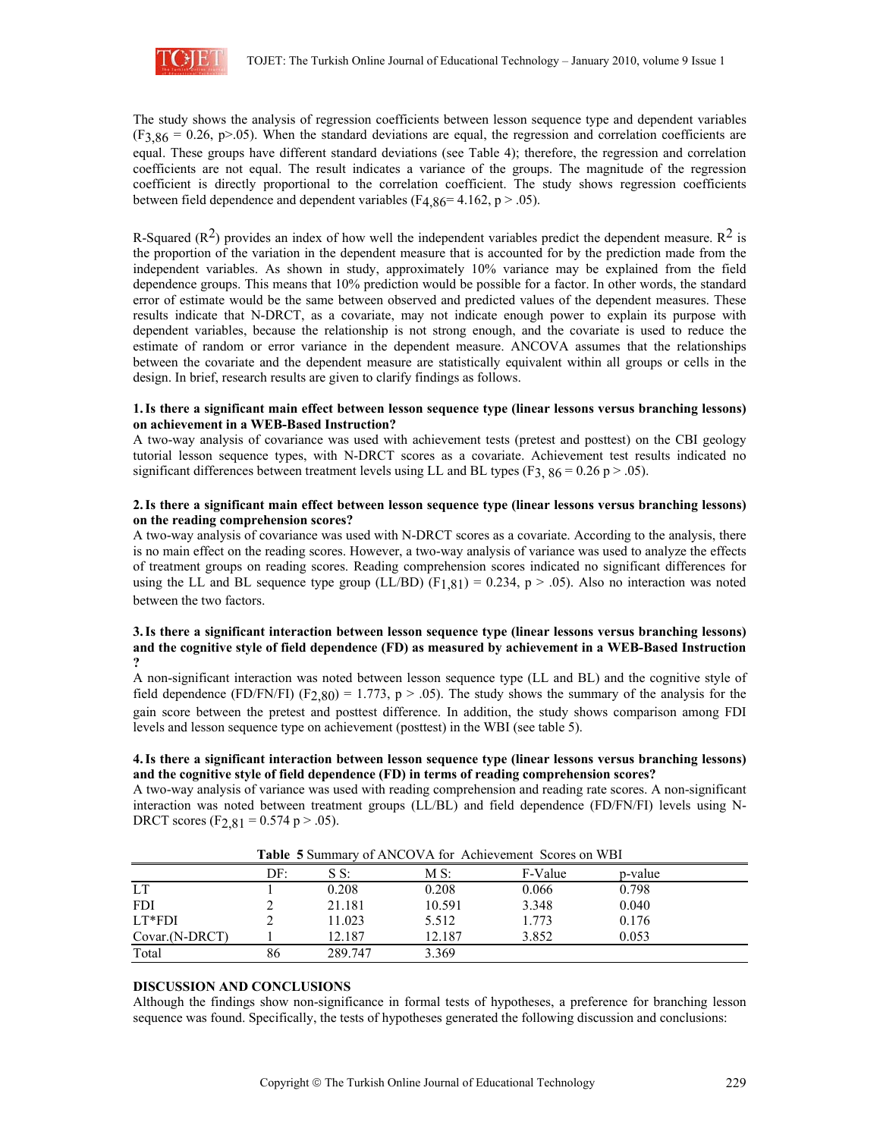

The study shows the analysis of regression coefficients between lesson sequence type and dependent variables  $(F3,86 = 0.26, p > .05)$ . When the standard deviations are equal, the regression and correlation coefficients are equal. These groups have different standard deviations (see Table 4); therefore, the regression and correlation coefficients are not equal. The result indicates a variance of the groups. The magnitude of the regression coefficient is directly proportional to the correlation coefficient. The study shows regression coefficients between field dependence and dependent variables (F<sub>4</sub>,86<sup>= 4.162, p > .05).</sup>

R-Squared ( $R^2$ ) provides an index of how well the independent variables predict the dependent measure.  $R^2$  is the proportion of the variation in the dependent measure that is accounted for by the prediction made from the independent variables. As shown in study, approximately 10% variance may be explained from the field dependence groups. This means that 10% prediction would be possible for a factor. In other words, the standard error of estimate would be the same between observed and predicted values of the dependent measures. These results indicate that N-DRCT, as a covariate, may not indicate enough power to explain its purpose with dependent variables, because the relationship is not strong enough, and the covariate is used to reduce the estimate of random or error variance in the dependent measure. ANCOVA assumes that the relationships between the covariate and the dependent measure are statistically equivalent within all groups or cells in the design. In brief, research results are given to clarify findings as follows.

#### **1.Is there a significant main effect between lesson sequence type (linear lessons versus branching lessons) on achievement in a WEB-Based Instruction?**

A two-way analysis of covariance was used with achievement tests (pretest and posttest) on the CBI geology tutorial lesson sequence types, with N-DRCT scores as a covariate. Achievement test results indicated no significant differences between treatment levels using LL and BL types (F<sub>3, 86</sub> = 0.26 p > .05).

#### **2.Is there a significant main effect between lesson sequence type (linear lessons versus branching lessons) on the reading comprehension scores?**

A two-way analysis of covariance was used with N-DRCT scores as a covariate. According to the analysis, there is no main effect on the reading scores. However, a two-way analysis of variance was used to analyze the effects of treatment groups on reading scores. Reading comprehension scores indicated no significant differences for using the LL and BL sequence type group (LL/BD) (F<sub>1,81</sub>) = 0.234, p > .05). Also no interaction was noted between the two factors.

#### **3.Is there a significant interaction between lesson sequence type (linear lessons versus branching lessons) and the cognitive style of field dependence (FD) as measured by achievement in a WEB-Based Instruction ?**

A non-significant interaction was noted between lesson sequence type (LL and BL) and the cognitive style of field dependence (FD/FN/FI) (F<sub>2,80</sub>) = 1.773, p > .05). The study shows the summary of the analysis for the gain score between the pretest and posttest difference. In addition, the study shows comparison among FDI levels and lesson sequence type on achievement (posttest) in the WBI (see table 5).

#### **4.Is there a significant interaction between lesson sequence type (linear lessons versus branching lessons) and the cognitive style of field dependence (FD) in terms of reading comprehension scores?**

A two-way analysis of variance was used with reading comprehension and reading rate scores. A non-significant interaction was noted between treatment groups (LL/BL) and field dependence (FD/FN/FI) levels using N-DRCT scores (F<sub>2,81</sub> = 0.574 p > .05).

|                |     |         |        | <b>Table</b> 5 Building vertices via for intervenient begins on white |         |  |
|----------------|-----|---------|--------|-----------------------------------------------------------------------|---------|--|
|                | DF: | SS:     | MS:    | F-Value                                                               | p-value |  |
| LT.            |     | 0.208   | 0.208  | 0.066                                                                 | 0.798   |  |
| <b>FDI</b>     |     | 21.181  | 10.591 | 3.348                                                                 | 0.040   |  |
| LT*FDI         |     | 11.023  | 5.512  | 1.773                                                                 | 0.176   |  |
| Covar.(N-DRCT) |     | 12.187  | 12.187 | 3.852                                                                 | 0.053   |  |
| Total          | 86  | 289.747 | 3.369  |                                                                       |         |  |

**Table 5** Summary of ANCOVA for Achievement Scores on WBI

## **DISCUSSION AND CONCLUSIONS**

Although the findings show non-significance in formal tests of hypotheses, a preference for branching lesson sequence was found. Specifically, the tests of hypotheses generated the following discussion and conclusions: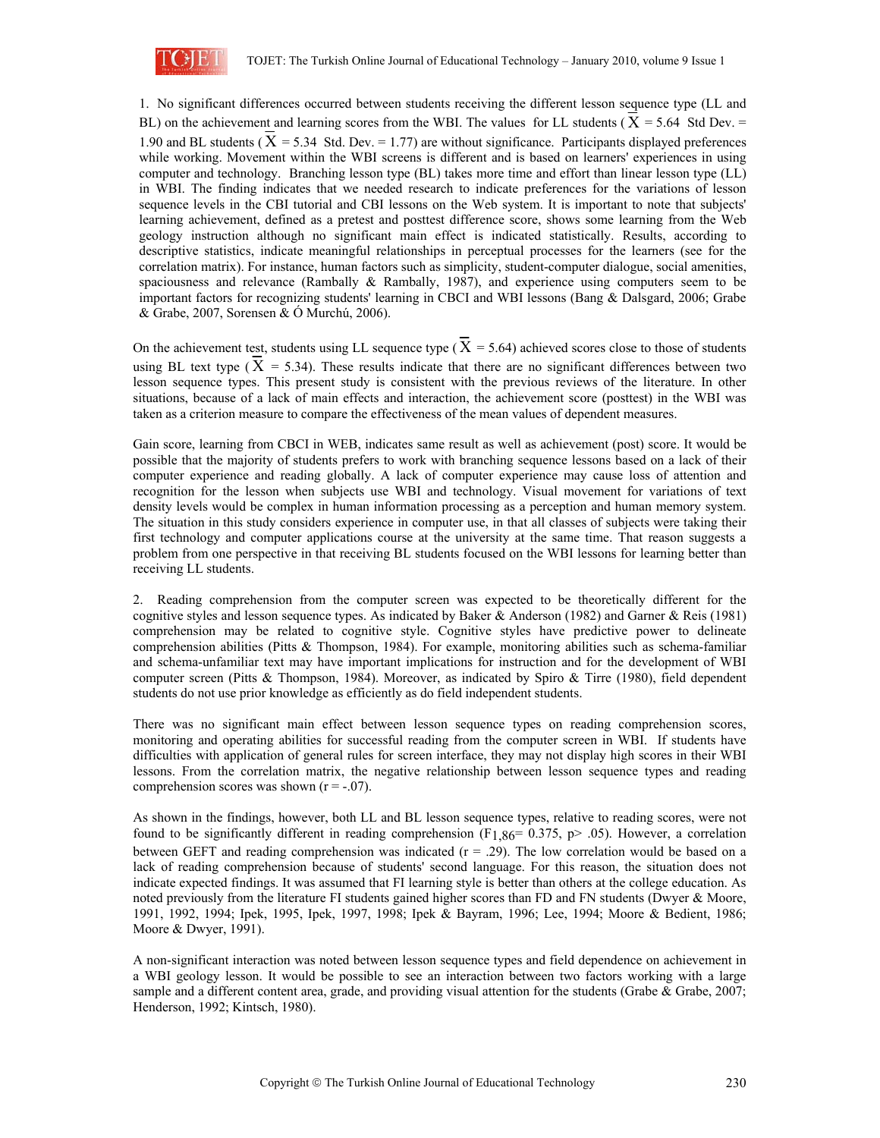

1. No significant differences occurred between students receiving the different lesson sequence type (LL and BL) on the achievement and learning scores from the WBI. The values for LL students ( $X = 5.64$  Std Dev. = 1.90 and BL students ( $X = 5.34$  Std. Dev. = 1.77) are without significance. Participants displayed preferences while working. Movement within the WBI screens is different and is based on learners' experiences in using computer and technology. Branching lesson type (BL) takes more time and effort than linear lesson type (LL) in WBI. The finding indicates that we needed research to indicate preferences for the variations of lesson sequence levels in the CBI tutorial and CBI lessons on the Web system. It is important to note that subjects' learning achievement, defined as a pretest and posttest difference score, shows some learning from the Web geology instruction although no significant main effect is indicated statistically. Results, according to descriptive statistics, indicate meaningful relationships in perceptual processes for the learners (see for the correlation matrix). For instance, human factors such as simplicity, student-computer dialogue, social amenities, spaciousness and relevance (Rambally & Rambally, 1987), and experience using computers seem to be important factors for recognizing students' learning in CBCI and WBI lessons (Bang & Dalsgard, 2006; Grabe & Grabe, 2007, Sorensen & Ó Murchú, 2006).

On the achievement test, students using LL sequence type ( $X = 5.64$ ) achieved scores close to those of students using BL text type  $(X = 5.34)$ . These results indicate that there are no significant differences between two lesson sequence types. This present study is consistent with the previous reviews of the literature. In other situations, because of a lack of main effects and interaction, the achievement score (posttest) in the WBI was taken as a criterion measure to compare the effectiveness of the mean values of dependent measures.

Gain score, learning from CBCI in WEB, indicates same result as well as achievement (post) score. It would be possible that the majority of students prefers to work with branching sequence lessons based on a lack of their computer experience and reading globally. A lack of computer experience may cause loss of attention and recognition for the lesson when subjects use WBI and technology. Visual movement for variations of text density levels would be complex in human information processing as a perception and human memory system. The situation in this study considers experience in computer use, in that all classes of subjects were taking their first technology and computer applications course at the university at the same time. That reason suggests a problem from one perspective in that receiving BL students focused on the WBI lessons for learning better than receiving LL students.

2. Reading comprehension from the computer screen was expected to be theoretically different for the cognitive styles and lesson sequence types. As indicated by Baker & Anderson (1982) and Garner & Reis (1981) comprehension may be related to cognitive style. Cognitive styles have predictive power to delineate comprehension abilities (Pitts & Thompson, 1984). For example, monitoring abilities such as schema-familiar and schema-unfamiliar text may have important implications for instruction and for the development of WBI computer screen (Pitts & Thompson, 1984). Moreover, as indicated by Spiro & Tirre (1980), field dependent students do not use prior knowledge as efficiently as do field independent students.

There was no significant main effect between lesson sequence types on reading comprehension scores, monitoring and operating abilities for successful reading from the computer screen in WBI. If students have difficulties with application of general rules for screen interface, they may not display high scores in their WBI lessons. From the correlation matrix, the negative relationship between lesson sequence types and reading comprehension scores was shown  $(r = -.07)$ .

As shown in the findings, however, both LL and BL lesson sequence types, relative to reading scores, were not found to be significantly different in reading comprehension (F<sub>1,86</sub>= 0.375, p> .05). However, a correlation between GEFT and reading comprehension was indicated  $(r = .29)$ . The low correlation would be based on a lack of reading comprehension because of students' second language. For this reason, the situation does not indicate expected findings. It was assumed that FI learning style is better than others at the college education. As noted previously from the literature FI students gained higher scores than FD and FN students (Dwyer & Moore, 1991, 1992, 1994; Ipek, 1995, Ipek, 1997, 1998; Ipek & Bayram, 1996; Lee, 1994; Moore & Bedient, 1986; Moore & Dwyer, 1991).

A non-significant interaction was noted between lesson sequence types and field dependence on achievement in a WBI geology lesson. It would be possible to see an interaction between two factors working with a large sample and a different content area, grade, and providing visual attention for the students (Grabe & Grabe, 2007; Henderson, 1992; Kintsch, 1980).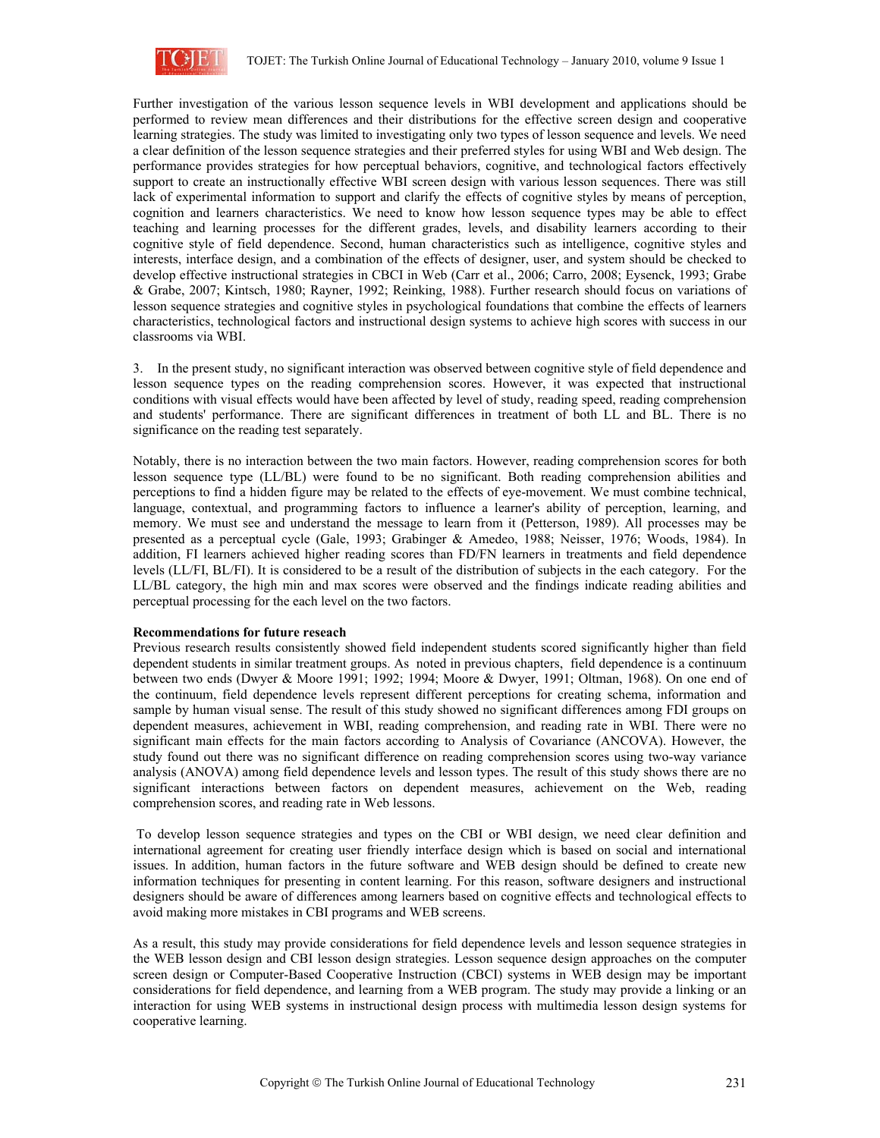

Further investigation of the various lesson sequence levels in WBI development and applications should be performed to review mean differences and their distributions for the effective screen design and cooperative learning strategies. The study was limited to investigating only two types of lesson sequence and levels. We need a clear definition of the lesson sequence strategies and their preferred styles for using WBI and Web design. The performance provides strategies for how perceptual behaviors, cognitive, and technological factors effectively support to create an instructionally effective WBI screen design with various lesson sequences. There was still lack of experimental information to support and clarify the effects of cognitive styles by means of perception, cognition and learners characteristics. We need to know how lesson sequence types may be able to effect teaching and learning processes for the different grades, levels, and disability learners according to their cognitive style of field dependence. Second, human characteristics such as intelligence, cognitive styles and interests, interface design, and a combination of the effects of designer, user, and system should be checked to develop effective instructional strategies in CBCI in Web (Carr et al., 2006; Carro, 2008; Eysenck, 1993; Grabe & Grabe, 2007; Kintsch, 1980; Rayner, 1992; Reinking, 1988). Further research should focus on variations of lesson sequence strategies and cognitive styles in psychological foundations that combine the effects of learners characteristics, technological factors and instructional design systems to achieve high scores with success in our classrooms via WBI.

3. In the present study, no significant interaction was observed between cognitive style of field dependence and lesson sequence types on the reading comprehension scores. However, it was expected that instructional conditions with visual effects would have been affected by level of study, reading speed, reading comprehension and students' performance. There are significant differences in treatment of both LL and BL. There is no significance on the reading test separately.

Notably, there is no interaction between the two main factors. However, reading comprehension scores for both lesson sequence type (LL/BL) were found to be no significant. Both reading comprehension abilities and perceptions to find a hidden figure may be related to the effects of eye-movement. We must combine technical, language, contextual, and programming factors to influence a learner's ability of perception, learning, and memory. We must see and understand the message to learn from it (Petterson, 1989). All processes may be presented as a perceptual cycle (Gale, 1993; Grabinger & Amedeo, 1988; Neisser, 1976; Woods, 1984). In addition, FI learners achieved higher reading scores than FD/FN learners in treatments and field dependence levels (LL/FI, BL/FI). It is considered to be a result of the distribution of subjects in the each category. For the LL/BL category, the high min and max scores were observed and the findings indicate reading abilities and perceptual processing for the each level on the two factors.

#### **Recommendations for future reseach**

Previous research results consistently showed field independent students scored significantly higher than field dependent students in similar treatment groups. As noted in previous chapters, field dependence is a continuum between two ends (Dwyer & Moore 1991; 1992; 1994; Moore & Dwyer, 1991; Oltman, 1968). On one end of the continuum, field dependence levels represent different perceptions for creating schema, information and sample by human visual sense. The result of this study showed no significant differences among FDI groups on dependent measures, achievement in WBI, reading comprehension, and reading rate in WBI. There were no significant main effects for the main factors according to Analysis of Covariance (ANCOVA). However, the study found out there was no significant difference on reading comprehension scores using two-way variance analysis (ANOVA) among field dependence levels and lesson types. The result of this study shows there are no significant interactions between factors on dependent measures, achievement on the Web, reading comprehension scores, and reading rate in Web lessons.

 To develop lesson sequence strategies and types on the CBI or WBI design, we need clear definition and international agreement for creating user friendly interface design which is based on social and international issues. In addition, human factors in the future software and WEB design should be defined to create new information techniques for presenting in content learning. For this reason, software designers and instructional designers should be aware of differences among learners based on cognitive effects and technological effects to avoid making more mistakes in CBI programs and WEB screens.

As a result, this study may provide considerations for field dependence levels and lesson sequence strategies in the WEB lesson design and CBI lesson design strategies. Lesson sequence design approaches on the computer screen design or Computer-Based Cooperative Instruction (CBCI) systems in WEB design may be important considerations for field dependence, and learning from a WEB program. The study may provide a linking or an interaction for using WEB systems in instructional design process with multimedia lesson design systems for cooperative learning.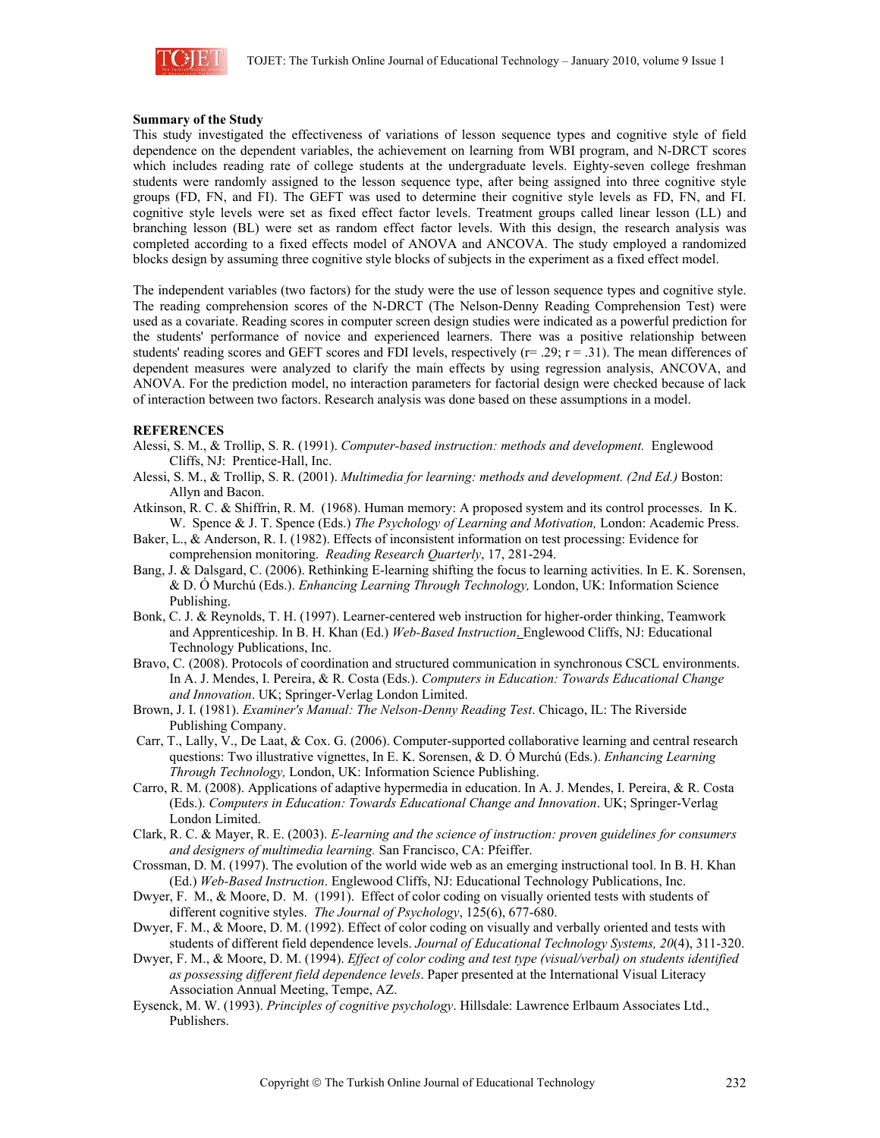

#### **Summary of the Study**

This study investigated the effectiveness of variations of lesson sequence types and cognitive style of field dependence on the dependent variables, the achievement on learning from WBI program, and N-DRCT scores which includes reading rate of college students at the undergraduate levels. Eighty-seven college freshman students were randomly assigned to the lesson sequence type, after being assigned into three cognitive style groups (FD, FN, and FI). The GEFT was used to determine their cognitive style levels as FD, FN, and FI. cognitive style levels were set as fixed effect factor levels. Treatment groups called linear lesson (LL) and branching lesson (BL) were set as random effect factor levels. With this design, the research analysis was completed according to a fixed effects model of ANOVA and ANCOVA. The study employed a randomized blocks design by assuming three cognitive style blocks of subjects in the experiment as a fixed effect model.

The independent variables (two factors) for the study were the use of lesson sequence types and cognitive style. The reading comprehension scores of the N-DRCT (The Nelson-Denny Reading Comprehension Test) were used as a covariate. Reading scores in computer screen design studies were indicated as a powerful prediction for the students' performance of novice and experienced learners. There was a positive relationship between students' reading scores and GEFT scores and FDI levels, respectively  $(r= .29; r = .31)$ . The mean differences of dependent measures were analyzed to clarify the main effects by using regression analysis, ANCOVA, and ANOVA. For the prediction model, no interaction parameters for factorial design were checked because of lack of interaction between two factors. Research analysis was done based on these assumptions in a model.

## **REFERENCES**

- Alessi, S. M., & Trollip, S. R. (1991). *Computer-based instruction: methods and development.* Englewood Cliffs, NJ: Prentice-Hall, Inc.
- Alessi, S. M., & Trollip, S. R. (2001). *Multimedia for learning: methods and development. (2nd Ed.)* Boston: Allyn and Bacon.
- Atkinson, R. C. & Shiffrin, R. M. (1968). Human memory: A proposed system and its control processes. In K. W. Spence & J. T. Spence (Eds.) *The Psychology of Learning and Motivation,* London: Academic Press.
- Baker, L., & Anderson, R. I. (1982). Effects of inconsistent information on test processing: Evidence for comprehension monitoring. *Reading Research Quarterly*, 17, 281-294.
- Bang, J. & Dalsgard, C. (2006). Rethinking E-learning shifting the focus to learning activities. In E. K. Sorensen, & D. Ó Murchú (Eds.). *Enhancing Learning Through Technology,* London, UK: Information Science Publishing.
- Bonk, C. J. & Reynolds, T. H. (1997). Learner-centered web instruction for higher-order thinking, Teamwork and Apprenticeship. In B. H. Khan (Ed.) *Web-Based Instruction*. Englewood Cliffs, NJ: Educational Technology Publications, Inc.
- Bravo, C. (2008). Protocols of coordination and structured communication in synchronous CSCL environments. In A. J. Mendes, I. Pereira, & R. Costa (Eds.). *Computers in Education: Towards Educational Change and Innovation*. UK; Springer-Verlag London Limited.
- Brown, J. I. (1981). *Examiner's Manual: The Nelson-Denny Reading Test*. Chicago, IL: The Riverside Publishing Company.
- Carr, T., Lally, V., De Laat, & Cox. G. (2006). Computer-supported collaborative learning and central research questions: Two illustrative vignettes, In E. K. Sorensen, & D. Ó Murchú (Eds.). *Enhancing Learning Through Technology,* London, UK: Information Science Publishing.
- Carro, R. M. (2008). Applications of adaptive hypermedia in education. In A. J. Mendes, I. Pereira, & R. Costa (Eds.). *Computers in Education: Towards Educational Change and Innovation*. UK; Springer-Verlag London Limited.
- Clark, R. C. & Mayer, R. E. (2003). *E-learning and the science of instruction: proven guidelines for consumers and designers of multimedia learning.* San Francisco, CA: Pfeiffer.
- Crossman, D. M. (1997). The evolution of the world wide web as an emerging instructional tool. In B. H. Khan (Ed.) *Web-Based Instruction*. Englewood Cliffs, NJ: Educational Technology Publications, Inc.
- Dwyer, F. M., & Moore, D. M. (1991). Effect of color coding on visually oriented tests with students of different cognitive styles. *The Journal of Psychology*, 125(6), 677-680.
- Dwyer, F. M., & Moore, D. M. (1992). Effect of color coding on visually and verbally oriented and tests with students of different field dependence levels. *Journal of Educational Technology Systems, 20*(4), 311-320.
- Dwyer, F. M., & Moore, D. M. (1994). *Effect of color coding and test type (visual/verbal) on students identified as possessing different field dependence levels*. Paper presented at the International Visual Literacy Association Annual Meeting, Tempe, AZ.
- Eysenck, M. W. (1993). *Principles of cognitive psychology*. Hillsdale: Lawrence Erlbaum Associates Ltd., Publishers.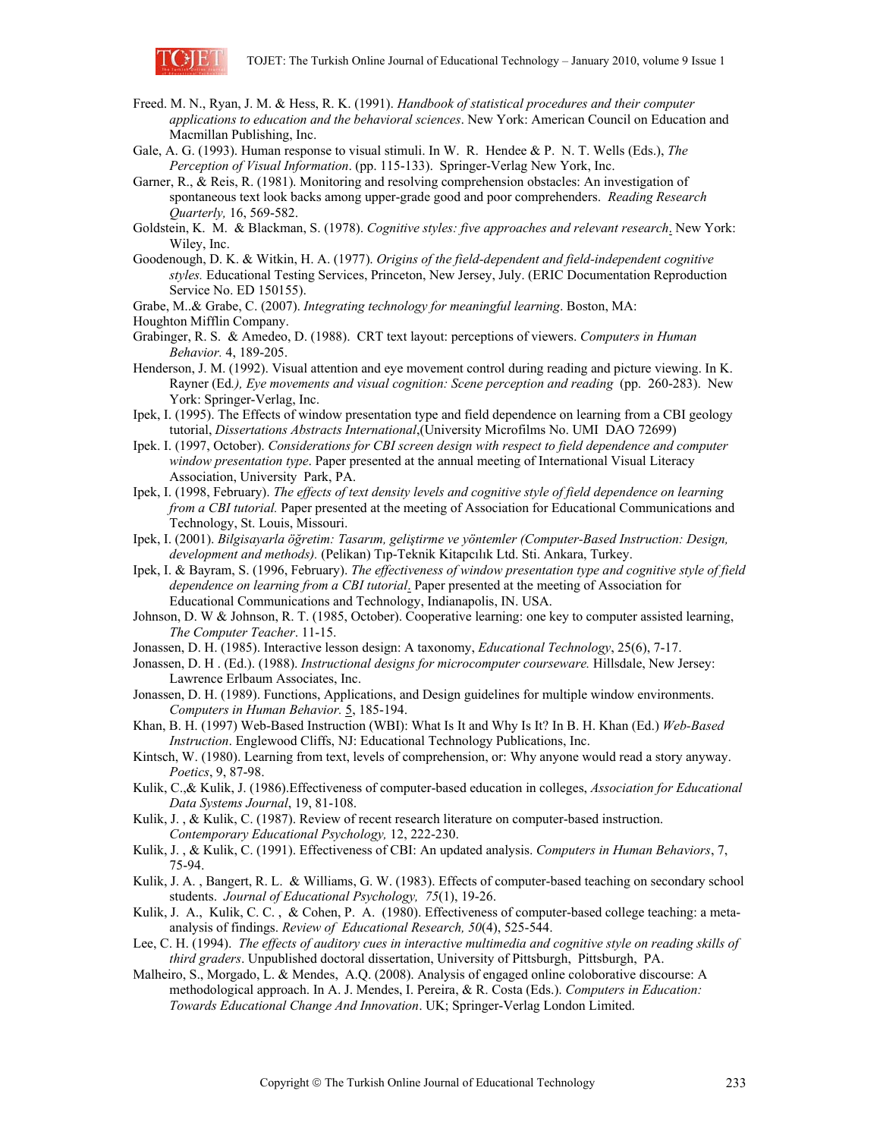

- Freed. M. N., Ryan, J. M. & Hess, R. K. (1991). *Handbook of statistical procedures and their computer applications to education and the behavioral sciences*. New York: American Council on Education and Macmillan Publishing, Inc.
- Gale, A. G. (1993). Human response to visual stimuli. In W. R. Hendee & P. N. T. Wells (Eds.), *The Perception of Visual Information*. (pp. 115-133). Springer-Verlag New York, Inc.
- Garner, R., & Reis, R. (1981). Monitoring and resolving comprehension obstacles: An investigation of spontaneous text look backs among upper-grade good and poor comprehenders. *Reading Research Quarterly,* 16, 569-582.
- Goldstein, K. M. & Blackman, S. (1978). *Cognitive styles: five approaches and relevant research*. New York: Wiley, Inc.
- Goodenough, D. K. & Witkin, H. A. (1977). *Origins of the field-dependent and field-independent cognitive styles.* Educational Testing Services, Princeton, New Jersey, July. (ERIC Documentation Reproduction Service No. ED 150155).
- Grabe, M..& Grabe, C. (2007). *Integrating technology for meaningful learning*. Boston, MA:
- Houghton Mifflin Company.
- Grabinger, R. S. & Amedeo, D. (1988). CRT text layout: perceptions of viewers. *Computers in Human Behavior.* 4, 189-205.
- Henderson, J. M. (1992). Visual attention and eye movement control during reading and picture viewing. In K. Rayner (Ed*.), Eye movements and visual cognition: Scene perception and reading* (pp. 260-283). New York: Springer-Verlag, Inc.
- Ipek, I. (1995). The Effects of window presentation type and field dependence on learning from a CBI geology tutorial, *Dissertations Abstracts International*,(University Microfilms No. UMI DAO 72699)
- Ipek. I. (1997, October). *Considerations for CBI screen design with respect to field dependence and computer window presentation type*. Paper presented at the annual meeting of International Visual Literacy Association, University Park, PA.
- Ipek, I. (1998, February). *The effects of text density levels and cognitive style of field dependence on learning from a CBI tutorial.* Paper presented at the meeting of Association for Educational Communications and Technology, St. Louis, Missouri.
- Ipek, I. (2001). *Bilgisayarla öğretim: Tasarım, geliştirme ve yöntemler (Computer-Based Instruction: Design, development and methods).* (Pelikan) Tıp-Teknik Kitapcılık Ltd. Sti. Ankara, Turkey.
- Ipek, I. & Bayram, S. (1996, February). *The effectiveness of window presentation type and cognitive style of field dependence on learning from a CBI tutorial*. Paper presented at the meeting of Association for Educational Communications and Technology, Indianapolis, IN. USA.
- Johnson, D. W & Johnson, R. T. (1985, October). Cooperative learning: one key to computer assisted learning, *The Computer Teacher*. 11-15.
- Jonassen, D. H. (1985). Interactive lesson design: A taxonomy, *Educational Technology*, 25(6), 7-17.
- Jonassen, D. H . (Ed.). (1988). *Instructional designs for microcomputer courseware.* Hillsdale, New Jersey: Lawrence Erlbaum Associates, Inc.
- Jonassen, D. H. (1989). Functions, Applications, and Design guidelines for multiple window environments. *Computers in Human Behavior.* 5, 185-194.
- Khan, B. H. (1997) Web-Based Instruction (WBI): What Is It and Why Is It? In B. H. Khan (Ed.) *Web-Based Instruction*. Englewood Cliffs, NJ: Educational Technology Publications, Inc.
- Kintsch, W. (1980). Learning from text, levels of comprehension, or: Why anyone would read a story anyway. *Poetics*, 9, 87-98.
- Kulik, C.,& Kulik, J. (1986).Effectiveness of computer-based education in colleges, *Association for Educational Data Systems Journal*, 19, 81-108.
- Kulik, J. , & Kulik, C. (1987). Review of recent research literature on computer-based instruction. *Contemporary Educational Psychology,* 12, 222-230.
- Kulik, J. , & Kulik, C. (1991). Effectiveness of CBI: An updated analysis. *Computers in Human Behaviors*, 7, 75-94.
- Kulik, J. A. , Bangert, R. L. & Williams, G. W. (1983). Effects of computer-based teaching on secondary school students. *Journal of Educational Psychology, 75*(1), 19-26.
- Kulik, J. A., Kulik, C. C., & Cohen, P. A. (1980). Effectiveness of computer-based college teaching: a metaanalysis of findings. *Review of Educational Research, 50*(4), 525-544.
- Lee, C. H. (1994). *The effects of auditory cues in interactive multimedia and cognitive style on reading skills of third graders*. Unpublished doctoral dissertation, University of Pittsburgh, Pittsburgh, PA.
- Malheiro, S., Morgado, L. & Mendes, A.Q. (2008). Analysis of engaged online coloborative discourse: A methodological approach. In A. J. Mendes, I. Pereira, & R. Costa (Eds.). *Computers in Education: Towards Educational Change And Innovation*. UK; Springer-Verlag London Limited.